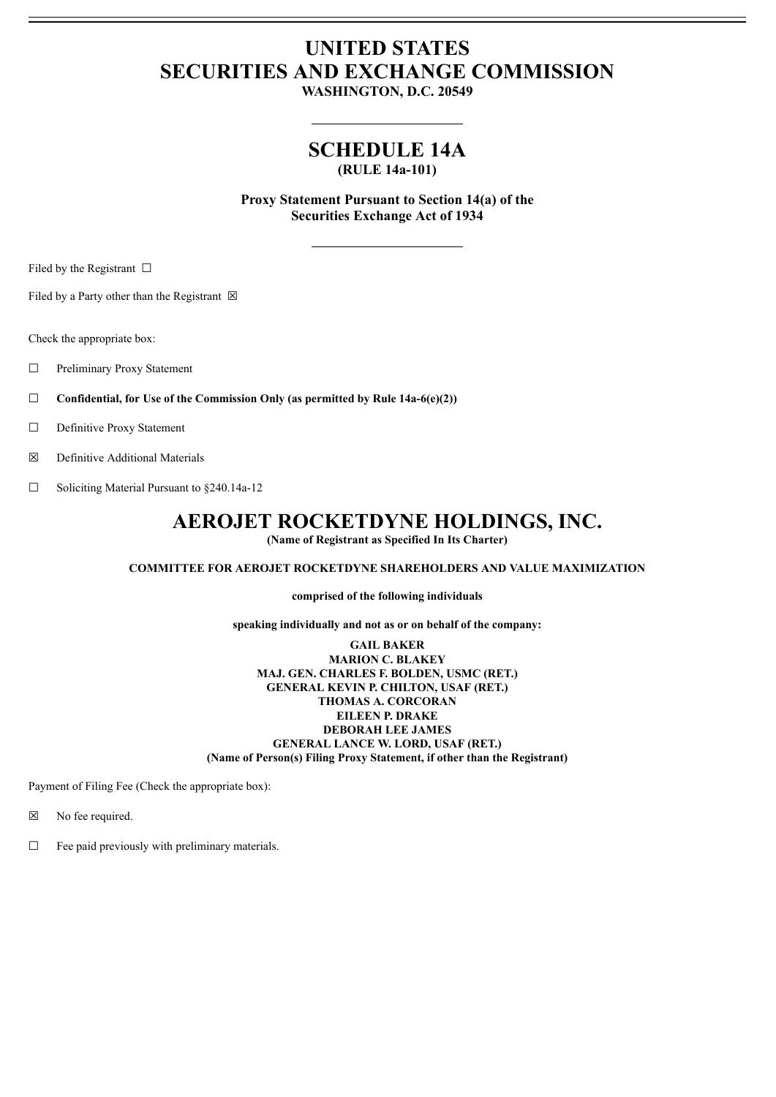# **UNITED STATES SECURITIES AND EXCHANGE COMMISSION**

**WASHINGTON, D.C. 20549**

## **SCHEDULE 14A**

**(RULE 14a-101)**

**Proxy Statement Pursuant to Section 14(a) of the Securities Exchange Act of 1934**

Filed by the Registrant  $\Box$ 

Filed by a Party other than the Registrant  $\boxtimes$ 

Check the appropriate box:

☐ Preliminary Proxy Statement

☐ **Confidential, for Use of the Commission Only (as permitted by Rule 14a-6(e)(2))**

□ Definitive Proxy Statement

☒ Definitive Additional Materials

☐ Soliciting Material Pursuant to §240.14a-12

## **AEROJET ROCKETDYNE HOLDINGS, INC.**

**(Name of Registrant as Specified In Its Charter)**

### **COMMITTEE FOR AEROJET ROCKETDYNE SHAREHOLDERS AND VALUE MAXIMIZATION**

**comprised of the following individuals**

**speaking individually and not as or on behalf of the company:**

**GAIL BAKER MARION C. BLAKEY MAJ. GEN. CHARLES F. BOLDEN, USMC (RET.) GENERAL KEVIN P. CHILTON, USAF (RET.) THOMAS A. CORCORAN EILEEN P. DRAKE DEBORAH LEE JAMES GENERAL LANCE W. LORD, USAF (RET.) (Name of Person(s) Filing Proxy Statement, if other than the Registrant)**

Payment of Filing Fee (Check the appropriate box):

☒ No fee required.

☐ Fee paid previously with preliminary materials.